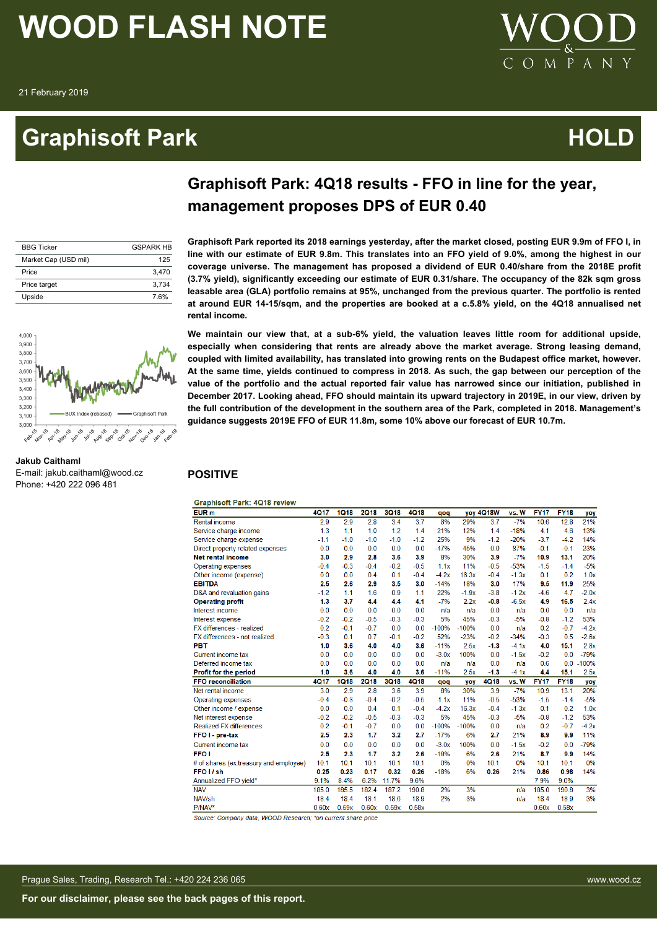**Jakub Caithaml**

4.000  $3,900$ 3,800 3,700 3,600 3.500 3 400 3.300  $3,200$  $3,100$  $3.000$  $180$ 

E-mail: jakub.caithaml@wood.cz Phone: +420 222 096 481

### **Graphisoft Park Community Community Community Community Community Community Community Community Community Community**



### **Graphisoft Park: 4Q18 results - FFO in line for the year, management proposes DPS of EUR 0.40**

| <b>BBG Ticker</b>    | <b>GSPARK HR</b> |
|----------------------|------------------|
| Market Cap (USD mil) | 125              |
| Price                | 3.470            |
| Price target         | 3.734            |
| Upside               | 7.6%             |

**Graphisoft Park reported its 2018 earnings yesterday, after the market closed, posting EUR 9.9m of FFO I, in line with our estimate of EUR 9.8m. This translates into an FFO yield of 9.0%, among the highest in our coverage universe. The management has proposed a dividend of EUR 0.40/share from the 2018E profit (3.7% yield), significantly exceeding our estimate of EUR 0.31/share. The occupancy of the 82k sqm gross leasable area (GLA) portfolio remains at 95%, unchanged from the previous quarter. The portfolio is rented at around EUR 14-15/sqm, and the properties are booked at a c.5.8% yield, on the 4Q18 annualised net rental income.**

**We maintain our view that, at a sub-6% yield, the valuation leaves little room for additional upside, especially when considering that rents are already above the market average. Strong leasing demand, coupled with limited availability, has translated into growing rents on the Budapest office market, however. At the same time, yields continued to compress in 2018. As such, the gap between our perception of the value of the portfolio and the actual reported fair value has narrowed since our initiation, published in December 2017. Looking ahead, FFO should maintain its upward trajectory in 2019E, in our view, driven by the full contribution of the development in the southern area of the Park, completed in 2018. Management's guidance suggests 2019E FFO of EUR 11.8m, some 10% above our forecast of EUR 10.7m.**

#### **POSITIVE**

#### **Graphisoft Park: 4Q18 review**

| <b>EUR</b> <sub>m</sub>                | <b>4Q17</b> | <b>1Q18</b> | <b>2Q18</b> | <b>3Q18</b> | 4Q18        | qoq     |         | yoy 4Q18W   | vs. W   | <b>FY17</b> | <b>FY18</b> | yoy     |
|----------------------------------------|-------------|-------------|-------------|-------------|-------------|---------|---------|-------------|---------|-------------|-------------|---------|
| Rental income                          | 2.9         | 2.9         | 2.8         | 3.4         | 3.7         | 8%      | 29%     | 3.7         | $-7%$   | 10.6        | 12.8        | 21%     |
| Service charge income                  | 1.3         | 1.1         | 1.0         | 1.2         | 1.4         | 21%     | 12%     | 1.4         | $-18%$  | 4.1         | 4.6         | 13%     |
| Service charge expense                 | $-1.1$      | $-1.0$      | $-1.0$      | $-1.0$      | $-1.2$      | 25%     | 9%      | $-1.2$      | $-20%$  | $-3.7$      | $-4.2$      | 14%     |
| Direct property related expenses       | 0.0         | 0.0         | 0.0         | 0.0         | 0.0         | $-47%$  | 45%     | 0.0         | 87%     | $-0.1$      | $-0.1$      | 23%     |
| <b>Net rental income</b>               | 3.0         | 2.9         | 2.8         | 3.6         | 3.9         | 8%      | 30%     | 3.9         | $-7%$   | 10.9        | 13.1        | 20%     |
| Operating expenses                     | $-0.4$      | $-0.3$      | $-0.4$      | $-0.2$      | $-0.5$      | 1.1x    | 11%     | $-0.5$      | $-53%$  | $-1.5$      | $-1.4$      | $-5%$   |
| Other income (expense)                 | 0.0         | 0.0         | 0.4         | 0.1         | $-0.4$      | $-4.2x$ | 16.3x   | $-0.4$      | $-1.3x$ | 0.1         | 0.2         | 1.0x    |
| <b>EBITDA</b>                          | 2.5         | 2.6         | 2.9         | 3.5         | 3.0         | $-14%$  | 18%     | 3.0         | 17%     | 9.5         | 11.9        | 25%     |
| D&A and revaluation gains              | $-1.2$      | 1.1         | 1.6         | 0.9         | 1.1         | 22%     | $-1.9x$ | $-3.8$      | $-1.2x$ | $-4.6$      | 4.7         | $-2.0x$ |
| <b>Operating profit</b>                | 1.3         | 3.7         | 4.4         | 4.4         | 4.1         | $-7%$   | 2.2x    | $-0.8$      | $-6.5x$ | 4.9         | 16.5        | 2.4x    |
| Interest income                        | 0.0         | 0.0         | 0.0         | 0.0         | 0.0         | n/a     | n/a     | 0.0         | n/a     | 0.0         | 0.0         | n/a     |
| Interest expense                       | $-0.2$      | $-0.2$      | $-0.5$      | $-0.3$      | $-0.3$      | 5%      | 45%     | $-0.3$      | $-5%$   | $-0.8$      | $-1.2$      | 53%     |
| FX differences - realized              | 0.2         | $-0.1$      | $-0.7$      | 0.0         | 0.0         | $-100%$ | $-100%$ | 0.0         | n/a     | 0.2         | $-0.7$      | $-4.2x$ |
| FX differences - not realized          | $-0.3$      | 0.1         | 0.7         | $-0.1$      | $-0.2$      | 52%     | $-23%$  | $-0.2$      | $-34%$  | $-0.3$      | 0.5         | $-2.6x$ |
| PBT                                    | 1.0         | 3.6         | 4.0         | 4.0         | 3.6         | $-11%$  | 2.5x    | $-1.3$      | $-4.1x$ | 4.0         | 15.1        | 2.8x    |
| Current income tax                     | 0.0         | 0.0         | 0.0         | 0.0         | 0.0         | $-3.0x$ | 100%    | 0.0         | $-1.5x$ | $-0.2$      | 0.0         | $-79%$  |
| Deferred income tax                    | 0.0         | 0.0         | 0.0         | 0.0         | 0.0         | n/a     | n/a     | 0.0         | n/a     | 0.6         | 0.0         | $-100%$ |
| Profit for the period                  | 1.0         | 3.6         | 4.0         | 4.0         | 3.6         | $-11%$  | 2.5x    | $-1.3$      | $-4.1x$ | 4.4         | 15.1        | 2.5x    |
| <b>FFO reconciliation</b>              | <b>4Q17</b> | <b>1Q18</b> | <b>2Q18</b> | 3Q18        | <b>4Q18</b> | qoq     | yoy     | <b>4Q18</b> | vs. W   | <b>FY17</b> | <b>FY18</b> | yoy     |
| Net rental income                      | 3.0         | 2.9         | 2.8         | 3.6         | 3.9         | 8%      | 30%     | 3.9         | $-7%$   | 10.9        | 13.1        | 20%     |
| Operating expenses                     | $-0.4$      | $-0.3$      | $-0.4$      | $-0.2$      | $-0.5$      | 1.1x    | 11%     | $-0.5$      | $-53%$  | $-1.5$      | $-1.4$      | $-5%$   |
| Other income / expense                 | 0.0         | 0.0         | 0.4         | 0.1         | $-0.4$      | $-4.2x$ | 16.3x   | $-0.4$      | $-1.3x$ | 0.1         | 0.2         | 1.0x    |
| Net interest expense                   | $-0.2$      | $-0.2$      | $-0.5$      | $-0.3$      | $-0.3$      | 5%      | 45%     | $-0.3$      | $-5%$   | $-0.8$      | $-1.2$      | 53%     |
| <b>Realized FX differences</b>         | 0.2         | $-0.1$      | $-0.7$      | 0.0         | 0.0         | $-100%$ | $-100%$ | 0.0         | n/a     | 0.2         | $-0.7$      | $-4.2x$ |
| FFO <sub>I</sub> -pre-tax              | 2.5         | 2.3         | 1.7         | 3.2         | 2.7         | $-17%$  | 6%      | 2.7         | 21%     | 8.9         | 9.9         | 11%     |
| Current income tax                     | 0.0         | 0.0         | 0.0         | 0.0         | 0.0         | $-3.0x$ | 100%    | 0.0         | $-1.5x$ | $-0.2$      | 0.0         | $-79%$  |
| <b>FFO</b> I                           | 2.5         | 2.3         | 1.7         | 3.2         | 2.6         | $-18%$  | 6%      | 2.6         | 21%     | 8.7         | 9.9         | 14%     |
| # of shares (ex.treasury and employee) | 10.1        | 10.1        | 10.1        | 10.1        | 10.1        | 0%      | 0%      | 10.1        | 0%      | 10.1        | 10.1        | 0%      |
| FFO <sub>I/sh</sub>                    | 0.25        | 0.23        | 0.17        | 0.32        | 0.26        | $-18%$  | 6%      | 0.26        | 21%     | 0.86        | 0.98        | 14%     |
| Annualized FFO yield*                  | 9.1%        | 8.4%        | 6.2%        | 11.7%       | 9.6%        |         |         |             |         | 7.9%        | 9.0%        |         |
| <b>NAV</b>                             | 185.0       | 185.5       | 182.4       | 187.2       | 190.8       | 2%      | 3%      |             | n/a     | 185.0       | 190.8       | 3%      |
| NAV/sh                                 | 18.4        | 18.4        | 18.1        | 18.6        | 18.9        | 2%      | 3%      |             | n/a     | 18.4        | 18.9        | 3%      |
| P/NAV*                                 | 0.60x       | 0.59x       | 0.60x       | 0.59x       | 0.58x       |         |         |             |         | 0.60x       | 0.58x       |         |

Source: Company data, WOOD Research; \*on current share price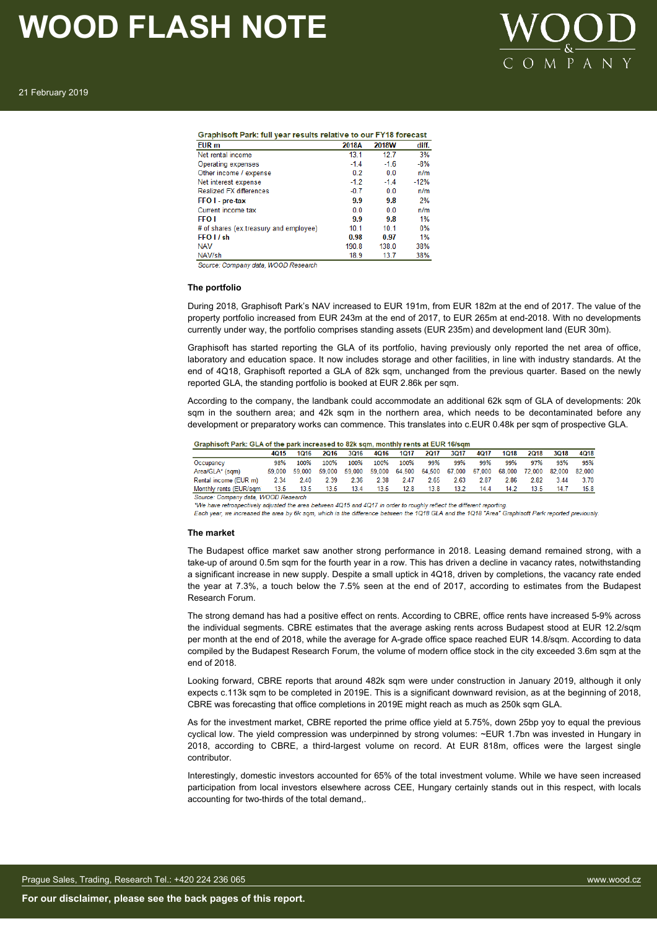

21 February 2019

| Graphisoft Park: full year results relative to our FY18 forecast |                |                |        |
|------------------------------------------------------------------|----------------|----------------|--------|
| EUR <sub>m</sub>                                                 | 2018A          | 2018W          | diff.  |
| Net rental income                                                | 13.1           | 12.7           | 3%     |
| Operating expenses                                               | $-1.4$         | $-1.6$         | $-8%$  |
| Other income / expense                                           | 0.2            | 0 <sub>0</sub> | n/m    |
| Net interest expense                                             | $-1.2$         | $-1.4$         | $-12%$ |
| <b>Realized FX differences</b>                                   | $-0.7$         | 0.0            | n/m    |
| FFO I - pre-tax                                                  | 9.9            | 9.8            | 2%     |
| Current income tax                                               | 0 <sub>0</sub> | 0.0            | n/m    |
| <b>FFO</b> I                                                     | 9.9            | 9.8            | 1%     |
| # of shares (ex.treasury and employee)                           | 10.1           | 10.1           | $0\%$  |
| FFO I / sh                                                       | 0.98           | 0.97           | 1%     |
| <b>NAV</b>                                                       | 190.8          | 138.0          | 38%    |
| NAV/sh                                                           | 189            | 13.7           | 38%    |

Source: Company data WOOD Research

#### **The portfolio**

During 2018, Graphisoft Park's NAV increased to EUR 191m, from EUR 182m at the end of 2017. The value of the property portfolio increased from EUR 243m at the end of 2017, to EUR 265m at end-2018. With no developments currently under way, the portfolio comprises standing assets (EUR 235m) and development land (EUR 30m).

Graphisoft has started reporting the GLA of its portfolio, having previously only reported the net area of office, laboratory and education space. It now includes storage and other facilities, in line with industry standards. At the end of 4Q18. Graphisoft reported a GLA of 82k sqm, unchanged from the previous quarter. Based on the newly reported GLA, the standing portfolio is booked at EUR 2.86k per sqm.

According to the company, the landbank could accommodate an additional 62k sqm of GLA of developments: 20k sam in the southern area; and 42k sam in the northern area, which needs to be decontaminated before any development or preparatory works can commence. This translates into c.EUR 0.48k per sqm of prospective GLA.

|                                    | 4015   | 1016   | 2016   | 3016   | 4Q16   | 1017   | 2017 | 3017          | 4017   | 1018   | <b>2018</b> | <b>3Q18</b> | 4Q18   |
|------------------------------------|--------|--------|--------|--------|--------|--------|------|---------------|--------|--------|-------------|-------------|--------|
| Occupancy                          | 98%    | 100%   | 100%   | 100%   | 100%   | 100%   | 99%  | 99%           | 99%    | 99%    | 97%         | 95%         | 95%    |
| Area/GLA* (sqm)                    | 59.000 | 59.000 | 59.000 | 59.000 | 59.000 | 64.500 |      | 64.500 67.000 | 67.000 | 68,000 | 72,000      | 82.000      | 82,000 |
| Rental income (EUR m)              | 2.34   | 2.40   | 2.39   | 2.36   | 2.38   | 2.47   | 2.65 | 2.63          | 2.87   | 2.86   | 2.82        | 3.44        | 3.70   |
| Monthly rents (EUR/sam             | 13.5   | 13.5   | 13.5   | 13.4   | 13.5   | 12.8   | 13.8 | 13.2          | 14.4   | 14.2   | 13.5        | 14.7        | 15.8   |
| Source: Company data WOOD Research |        |        |        |        |        |        |      |               |        |        |             |             |        |

\*We have retrospectively adjusted the area between 4Q15 and 4Q17 in order to roughly reflect the different reporting

Each year, we increased the area by 6k sqm, which is the difference between the 1Q18 GLA and the 1Q18 "Area" Graphisoft Park reported previously

#### **The market**

The Budapest office market saw another strong performance in 2018. Leasing demand remained strong, with a take-up of around 0.5m sqm for the fourth year in a row. This has driven a decline in vacancy rates, notwithstanding a significant increase in new supply. Despite a small uptick in 4Q18, driven by completions, the vacancy rate ended the year at 7.3%, a touch below the 7.5% seen at the end of 2017, according to estimates from the Budapest Research Forum.

The strong demand has had a positive effect on rents. According to CBRE, office rents have increased 5-9% across the individual segments. CBRE estimates that the average asking rents across Budapest stood at EUR 12.2/sqm per month at the end of 2018, while the average for A-grade office space reached EUR 14.8/sqm. According to data compiled by the Budapest Research Forum, the volume of modern office stock in the city exceeded 3.6m sqm at the end of 2018.

Looking forward, CBRE reports that around 482k sqm were under construction in January 2019, although it only expects c.113k sqm to be completed in 2019E. This is a significant downward revision, as at the beginning of 2018, CBRE was forecasting that office completions in 2019E might reach as much as 250k sqm GLA.

As for the investment market, CBRE reported the prime office yield at 5.75%, down 25bp yoy to equal the previous cyclical low. The yield compression was underpinned by strong volumes: ~EUR 1.7bn was invested in Hungary in 2018, according to CBRE, a third-largest volume on record. At EUR 818m, offices were the largest single contributor.

Interestingly, domestic investors accounted for 65% of the total investment volume. While we have seen increased participation from local investors elsewhere across CEE, Hungary certainly stands out in this respect, with locals accounting for two-thirds of the total demand,.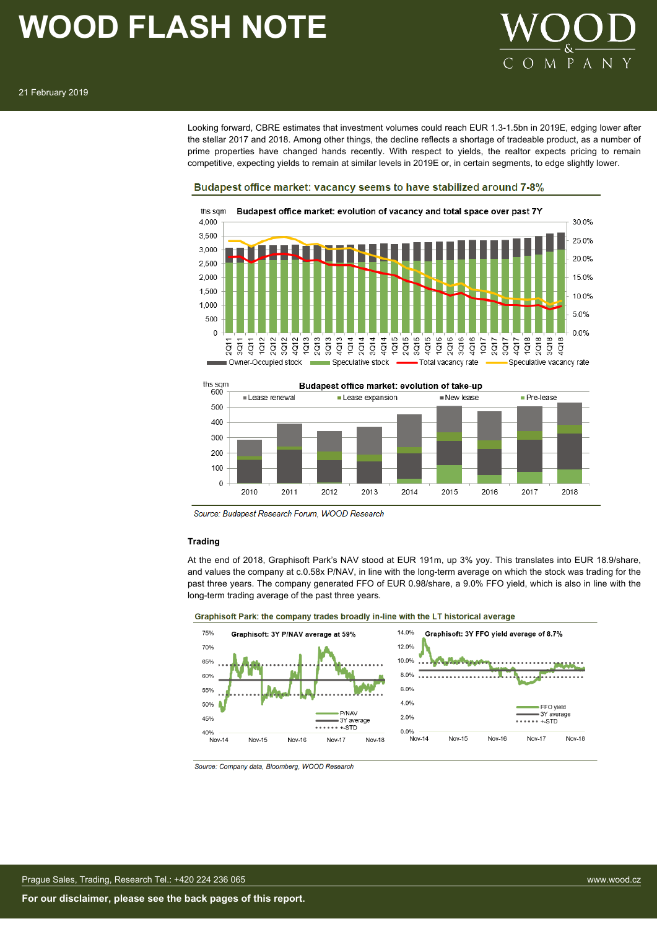

Looking forward, CBRE estimates that investment volumes could reach EUR 1.3-1.5bn in 2019E, edging lower after the stellar 2017 and 2018. Among other things, the decline reflects a shortage of tradeable product, as a number of prime properties have changed hands recently. With respect to yields, the realtor expects pricing to remain competitive, expecting yields to remain at similar levels in 2019E or, in certain segments, to edge slightly lower.

#### Budapest office market: vacancy seems to have stabilized around 7-8%





Source: Budapest Research Forum, WOOD Research

#### **Trading**

At the end of 2018, Graphisoft Park's NAV stood at EUR 191m, up 3% yoy. This translates into EUR 18.9/share, and values the company at c.0.58x P/NAV, in line with the long-term average on which the stock was trading for the past three years. The company generated FFO of EUR 0.98/share, a 9.0% FFO yield, which is also in line with the long-term trading average of the past three years.



Source: Company data, Bloomberg, WOOD Research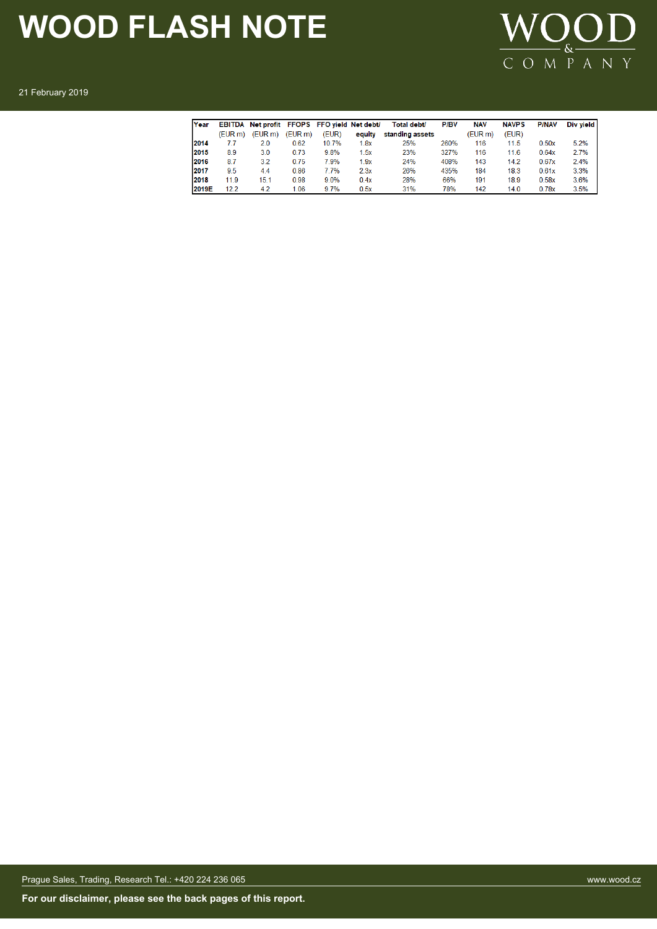

21 February 2019

| Year  | <b>EBITDA</b> | Net profit FFOPS FFO vield Net debt/ |         |       |        | Total debt/     | <b>P/BV</b> | <b>NAV</b> | <b>NAVPS</b> | <b>P/NAV</b> | Div vield |
|-------|---------------|--------------------------------------|---------|-------|--------|-----------------|-------------|------------|--------------|--------------|-----------|
|       | (EUR m)       | (EURm)                               | (EUR m) | (EUR) | equity | standing assets |             | (EUR m)    | (EUR)        |              |           |
| 2014  | 7.7           | 2.0                                  | 0.62    | 10.7% | 1.8x   | 25%             | 260%        | 116        | 11.5         | 0.50x        | 5.2%      |
| 2015  | 8.9           | 3.0                                  | 0.73    | 9.8%  | .5x    | 23%             | 327%        | 116        | 11.6         | 0.64x        | 2.7%      |
| 2016  | 8.7           | 3.2                                  | 0.75    | 7.9%  | 1.9x   | 24%             | 408%        | 143        | 14.2         | 0.67x        | 2.4%      |
| 2017  | 9.5           | 4.4                                  | 0.86    | 7.7%  | 2.3x   | 26%             | 435%        | 184        | 18.3         | 0.61x        | 3.3%      |
| 2018  | 11.9          | 15.1                                 | 0.98    | 9.0%  | 0.4x   | 28%             | 66%         | 191        | 18.9         | 0.58x        | 3.6%      |
| 2019E | 12.2          | 4.2                                  | 1.06    | 9.7%  | 0.5x   | 31%             | 78%         | 142        | 14.0         | 0.78x        | 3.5%      |

Prague Sales, Trading, Research Tel.: +420 224 236 065 www.wood.cz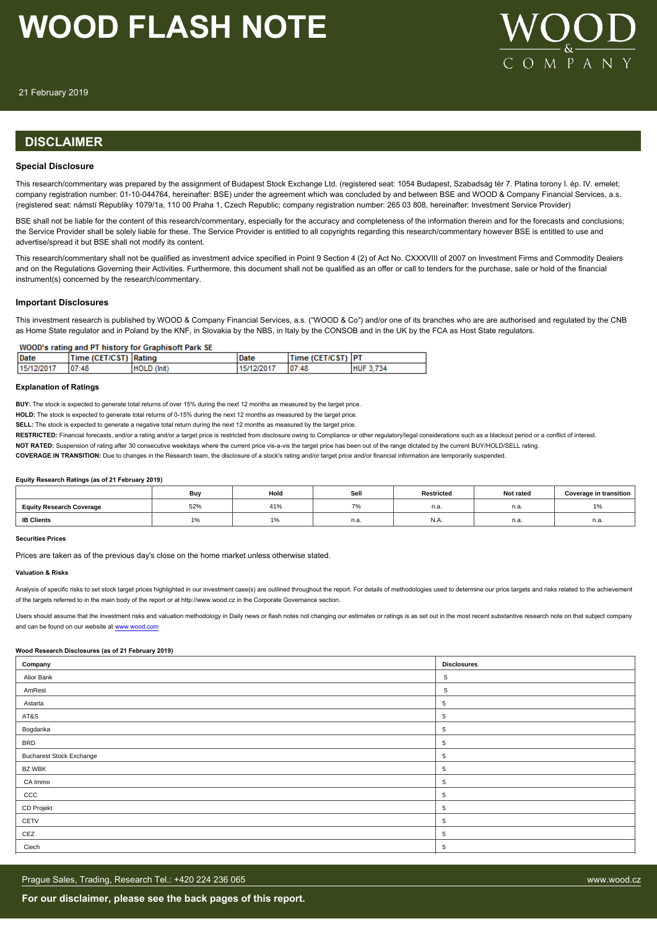

21 February 2019

### **DISCLAIMER**

#### **Special Disclosure**

This research/commentary was prepared by the assignment of Budapest Stock Exchange Ltd. (registered seat: 1054 Budapest, Szabadság tér 7. Platina torony I. ép. IV. emelet; company registration number: 01-10-044764, hereinafter: BSE) under the agreement which was concluded by and between BSE and WOOD & Company Financial Services, a.s. (registered seat: námstí Republiky 1079/1a, 110 00 Praha 1, Czech Republic; company registration number: 265 03 808, hereinafter: Investment Service Provider)

BSE shall not be liable for the content of this research/commentary, especially for the accuracy and completeness of the information therein and for the forecasts and conclusions; the Service Provider shall be solely liable for these. The Service Provider is entitled to all copyrights regarding this research/commentary however BSE is entitled to use and advertise/spread it but BSE shall not modify its content.

This research/commentary shall not be qualified as investment advice specified in Point 9 Section 4 (2) of Act No. CXXXVIII of 2007 on Investment Firms and Commodity Dealers and on the Regulations Governing their Activities. Furthermore, this document shall not be qualified as an offer or call to tenders for the purchase, sale or hold of the financial instrument(s) concerned by the research/commentary.

#### **Important Disclosures**

This investment research is published by WOOD & Company Financial Services, a.s. ("WOOD & Co") and/or one of its branches who are are authorised and regulated by the CNB as Home State regulator and in Poland by the KNF, in Slovakia by the NBS, in Italy by the CONSOB and in the UK by the FCA as Host State regulators.

#### WOOD's rating and PT history for Graphisoft Park SE

| <b>Date</b> | Time (CET/CST) Rating |             | Date       | Time (CET/CST)  PT |                  |
|-------------|-----------------------|-------------|------------|--------------------|------------------|
| 15/12/2017  | 07:48                 | HOLD (Init) | 15/12/2017 | 07:48              | <b>HUF 3,734</b> |

#### **Explanation of Ratings**

**BUY:** The stock is expected to generate total returns of over 15% during the next 12 months as measured by the target price.

**HOLD:** The stock is expected to generate total returns of 0-15% during the next 12 months as measured by the target price.

**SELL:** The stock is expected to generate a negative total return during the next 12 months as measured by the target price.

RESTRICTED: Financial forecasts, and/or a rating and/or a target price is restricted from disclosure owing to Compliance or other regulatory/legal considerations such as a blackout period or a conflict of interest.

**NOT RATED:** Suspension of rating after 30 consecutive weekdays where the current price vis-a-vis the target price has been out of the range dictated by the current BUY/HOLD/SELL rating.

**COVERAGE IN TRANSITION:** Due to changes in the Research team, the disclosure of a stock's rating and/or target price and/or financial information are temporarily suspended.

#### **Equity Research Ratings (as of 21 February 2019)**

|                                 | Bu  | Hold | Sell | Restricted | Not rated | Coverage in transition |
|---------------------------------|-----|------|------|------------|-----------|------------------------|
| <b>Equity Research Coverage</b> | 52% | 41%  | 70/  | n.a.       | n.a       | 1%                     |
| <b>IB Clients</b>               | l ‰ | 1%   | n.a. | IN.A.      | n.a.      | n.a.                   |

#### **Securities Prices**

Prices are taken as of the previous day's close on the home market unless otherwise stated.

#### **Valuation & Risks**

Analysis of specific risks to set stock target prices bioblighted in our investment case(s) are outlined throughout the report. For details of methodologies used to determine our price targets and risks related to the achi of the targets referred to in the main body of the report or at http://www.wood.cz in the Corporate Governance section.

Users should assume that the investment risks and valuation methodology in Daily news or flash notes not changing our estimates or ratings is as set out in the most recent substantive research note on that subject company and can be found on our website at [www.wood.com](https://research.wood.cz)

#### **Wood Research Disclosures (as of 21 February 2019)**

| Company                         | <b>Disclosures</b> |
|---------------------------------|--------------------|
| Alior Bank                      | 5                  |
| AmRest                          | $5\phantom{.0}$    |
| Astarta                         | 5                  |
| AT&S                            | 5                  |
| Bogdanka                        | 5                  |
| <b>BRD</b>                      | 5                  |
| <b>Bucharest Stock Exchange</b> | 5                  |
| <b>BZ WBK</b>                   | 5                  |
| CA Immo                         | 5                  |
| CCC                             | 5                  |
| CD Projekt                      | $\overline{5}$     |
| CETV                            | 5                  |
| CEZ                             | $\overline{5}$     |
| Ciech                           | 5                  |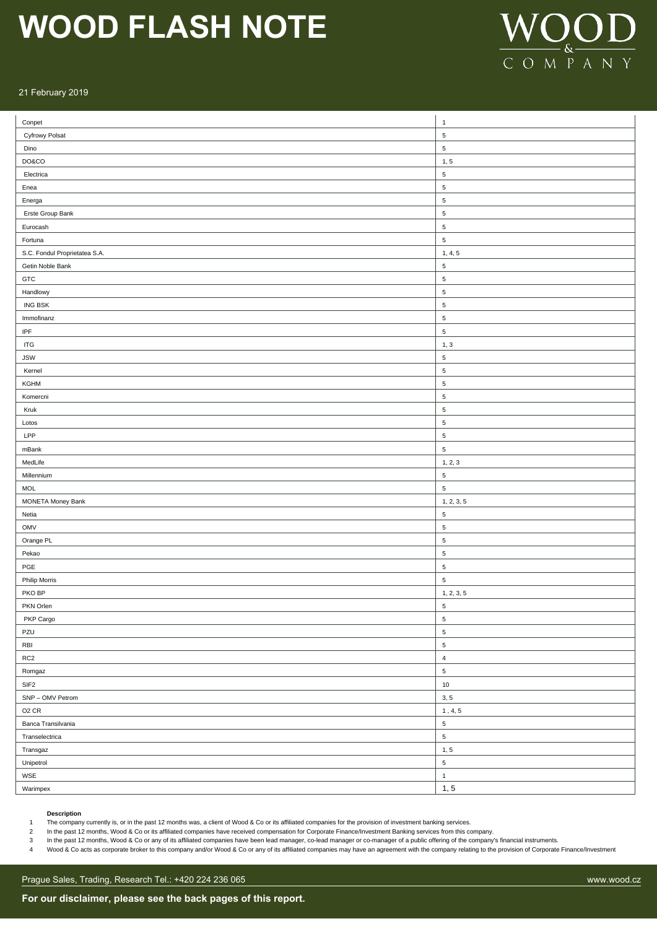

#### 21 February 2019

| $\text{Conpet}$               | $\mathbf{1}$         |
|-------------------------------|----------------------|
| <b>Cyfrowy Polsat</b>         | $\sqrt{5}$           |
| Dino                          | $\sqrt{5}$           |
| DO&CO                         | 1, 5                 |
| Electrica                     | $\mathbf 5$          |
| Enea                          | $\,$ 5 $\,$          |
| Energa                        | $\,$ 5 $\,$          |
| Erste Group Bank              | $\,$ 5 $\,$          |
| Eurocash                      | $\sqrt{5}$           |
| Fortuna                       | $\mathbf 5$          |
| S.C. Fondul Proprietatea S.A. | 1, 4, 5              |
| Getin Noble Bank              | $\sqrt{5}$           |
| ${\tt GTC}$                   | $\,$ 5 $\,$          |
| Handlowy                      | $\,$ 5 $\,$          |
| <b>ING BSK</b>                | $\,$ 5 $\,$          |
| Immofinanz                    | $\,$ 5 $\,$          |
| $\ensuremath{\mathsf{IPF}}$   | $\,$ 5 $\,$          |
| $\ensuremath{\mathsf{ITG}}$   | 1, 3                 |
| <b>JSW</b>                    | $\mathbf 5$          |
| Kernel                        | $\,$ 5 $\,$          |
| KGHM                          | $\,$ 5 $\,$          |
| Komercni                      | $\sqrt{5}$           |
| Kruk                          | $\sqrt{5}$           |
| Lotos                         | $\sqrt{5}$           |
| LPP                           | $\sqrt{5}$           |
| mBank                         | $\sqrt{5}$           |
| MedLife                       |                      |
|                               | 1, 2, 3              |
| Millennium                    | $\,$ 5 $\,$          |
| MOL                           | $\,$ 5 $\,$          |
| MONETA Money Bank             | 1, 2, 3, 5           |
| Netia                         | $\sqrt{5}$           |
| <b>OMV</b>                    | $\sqrt{5}$           |
| Orange PL                     | $\sqrt{5}$           |
| Pekao                         | $\sqrt{5}$           |
| $\sf PGE$                     | $\sqrt{5}$           |
| Philip Morris                 | $\sqrt{5}$           |
| PKO BP                        | 1, 2, 3, 5           |
| PKN Orlen                     | $\,$ 5 $\,$          |
| PKP Cargo                     | $\,$ 5 $\,$          |
| PZU                           | $\,$ 5 $\,$          |
| RBI                           | $\mathbf 5$          |
| $\sf RC2$                     | $\sqrt{4}$           |
| Romgaz                        | $\mathbf 5$          |
| SIF <sub>2</sub>              | $10$                 |
| SNP - OMV Petrom              | 3, 5                 |
| $O2$ CR                       | $\mathbf 1$ , 4, 5   |
| Banca Transilvania            | $\,$ 5 $\,$          |
| Transelectrica                | $\,$ 5 $\,$          |
| Transgaz                      | 1, 5                 |
| Unipetrol                     | $\,$ 5 $\,$          |
| WSE                           | $\mathbf{1}$<br>1, 5 |

#### **Description**

1 The company currently is, or in the past 12 months was, a client of Wood & Co or its affiliated companies for the provision of investment banking services.

2 In the past 12 months, Wood & Co or its affiliated companies have received compensation for Corporate Finance/Investment Banking services from this company.

3 In the past 12 months, Wood & Co or any of its affiliated companies have been lead manager, co-lead manager or co-manager of a public offering of the company's financial instruments.

Wood & Co acts as corporate broker to this company and/or Wood & Co or any of its affiliated companies may have an agreement with the company relating to the provision of Corporate Finance/Investment (November 2012)

Prague Sales, Trading, Research Tel.: +420 224 236 065 www.wood.cz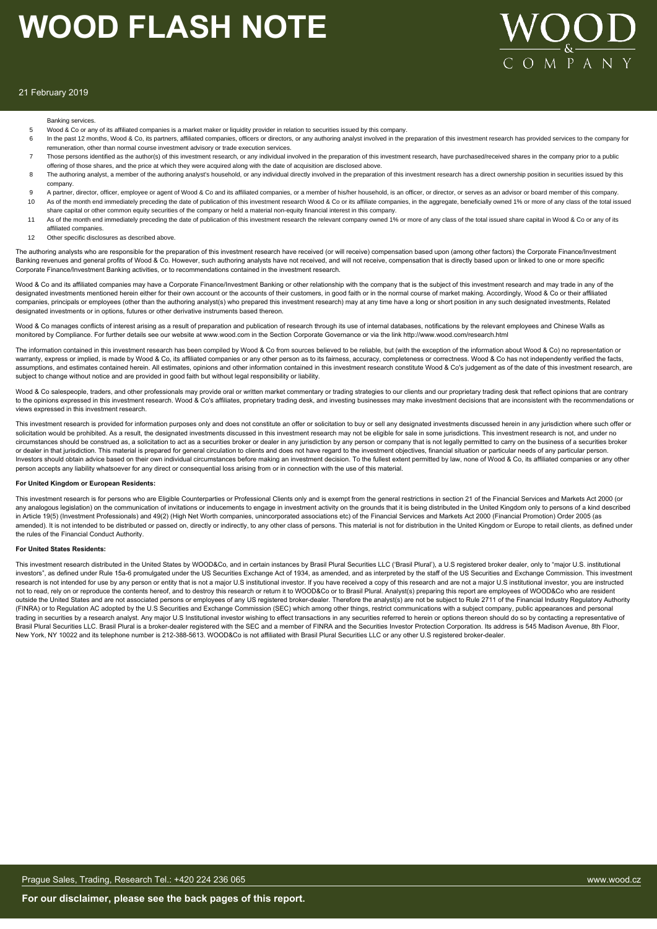

#### 21 February 2019

#### Banking services.

- 5 Wood & Co or any of its affiliated companies is a market maker or liquidity provider in relation to securities issued by this company.
- 6 In the past 12 months, Wood & Co, its partners, affiliated companies, officers or directors, or any authoring analyst involved in the preparation of this investment research has provided services to the company for remuneration, other than normal course investment advisory or trade execution services.
- 7 Those persons identified as the author(s) of this investment research, or any individual involved in the preparation of this investment research, have purchased/received shares in the company prior to a public offering of those shares, and the price at which they were acquired along with the date of acquisition are disclosed above.
- 8 The authoring analyst, a member of the authoring analyst's household, or any individual directly involved in the preparation of this investment research has a direct ownership position in securities issued by this company.
- 9 A partner, director, officer, employee or agent of Wood & Co and its affiliated companies, or a member of his/her household, is an officer, or director, or serves as an advisor or board member of this company.<br>10 As of t As of the month end immediately preceding the date of publication of this investment research Wood & Co or its affiliate companies, in the aggregate, beneficially owned 1% or more of any class of the total issued
- share capital or other common equity securities of the company or held a material non-equity financial interest in this company. 11 As of the month end immediately preceding the date of publication of this investment research the relevant company owned 1% or more of any class of the total issued share capital in Wood & Co or any of its
- affiliated companies.
- 12 Other specific disclosures as described above

The authoring analysts who are responsible for the preparation of this investment research have received (or will receive) compensation based upon (among other factors) the Corporate Finance/Investment Banking revenues and general profits of Wood & Co. However, such authoring analysts have not received, and will not receive, compensation that is directly based upon or linked to one or more specific Corporate Finance/Investment Banking activities, or to recommendations contained in the investment research.

Wood & Co and its affiliated companies may have a Corporate Finance/Investment Banking or other relationship with the company that is the subject of this investment research and may trade in any of the designated investments mentioned herein either for their own account or the accounts of their customers, in good faith or in the normal course of market making. Accordingly, Wood & Co or their affiliated companies, principals or employees (other than the authoring analyst(s) who prepared this investment research) may at any time have a long or short position in any such designated investments, Related designated investments or in options, futures or other derivative instruments based thereon.

Wood & Co manages conflicts of interest arising as a result of preparation and publication of research through its use of internal databases, notifications by the relevant employees and Chinese Walls as monitored by Compliance. For further details see our website at www.wood.com in the Section Corporate Governance or via the link http://www.wood.com/research.html

The information contained in this investment research has been compiled by Wood & Co from sources believed to be reliable, but (with the exception of the information about Wood & Co) no representation or warranty, express or implied, is made by Wood & Co, its affiliated companies or any other person as to its fairness, accuracy, completeness or correctness. Wood & Co has not independently verified the facts, assumptions, and estimates contained herein. All estimates, opinions and other information contained in this investment research constitute Wood & Co's judgement as of the date of this investment research, are subject to change without notice and are provided in good faith but without legal responsibility or liability.

Wood & Co salespeople, traders, and other professionals may provide oral or written market commentary or trading strategies to our clients and our proprietary trading desk that reflect opinions that are contrary to the opinions expressed in this investment research. Wood & Co's affiliates, proprietary trading desk, and investing businesses may make investment decisions that are inconsistent with the recommendations or views expressed in this investment research.

This investment research is provided for information purposes only and does not constitute an offer or solicitation to buy or sell any designated investments discussed herein in any jurisdiction where such offer or solicitation would be prohibited. As a result, the designated investments discussed in this investment research may not be eligible for sale in some jurisdictions. This investment research is not, and under no circumstances should be construed as, a solicitation to act as a securities broker or dealer in any jurisdiction by any person or company that is not legally permitted to carry on the business of a securities broker or dealer in that jurisdiction. This material is prepared for general circulation to clients and does not have regard to the investment objectives, financial situation or particular needs of any particular person. Investors should obtain advice based on their own individual circumstances before making an investment decision. To the fullest extent permitted by law, none of Wood & Co, its affiliated companies or any other person accepts any liability whatsoever for any direct or consequential loss arising from or in connection with the use of this material.

#### **For United Kingdom or European Residents:**

This investment research is for persons who are Eligible Counterparties or Professional Clients only and is exempt from the general restrictions in section 21 of the Financial Services and Markets Act 2000 (or any analogous legislation) on the communication of invitations or inducements to engage in investment activity on the grounds that it is being distributed in the United Kingdom only to persons of a kind described in Article 19(5) (Investment Professionals) and 49(2) (High Net Worth companies, unincorporated associations etc) of the Financial Services and Markets Act 2000 (Financial Promotion) Order 2005 (as amended). It is not intended to be distributed or passed on, directly or indirectly, to any other class of persons. This material is not for distribution in the United Kingdom or Europe to retail clients, as defined under the rules of the Financial Conduct Authority.

#### **For United States Residents:**

This investment research distributed in the United States by WOOD&Co, and in certain instances by Brasil Plural Securities LLC ('Brasil Plural'), a U.S registered broker dealer, only to "major U.S. institutional investors", as defined under Rule 15a-6 promulgated under the US Securities Exchange Act of 1934, as amended, and as interpreted by the staff of the US Securities and Exchange Commission. This investment research is not intended for use by any person or entity that is not a major U.S institutional investor. If you have received a copy of this research and are not a major U.S institutional investor, you are instructed not to read, rely on or reproduce the contents hereof, and to destroy this research or return it to WOOD&Co or to Brasil Plural. Analyst(s) preparing this report are employees of WOOD&Co who are resident outside the United States and are not associated persons or employees of any US registered broker-dealer. Therefore the analyst(s) are not be subject to Rule 2711 of the Financial Industry Regulatory Authority (FINRA) or to Regulation AC adopted by the U.S Securities and Exchange Commission (SEC) which among other things, restrict communications with a subject company, public appearances and personal trading in securities by a research analyst. Any major U.S Institutional investor wishing to effect transactions in any securities referred to herein or options thereon should do so by contacting a representative of Brasil Plural Securities LLC. Brasil Plural is a broker-dealer registered with the SEC and a member of FINRA and the Securities Investor Protection Corporation. Its address is 545 Madison Avenue, 8th Floor, New York, NY 10022 and its telephone number is 212-388-5613. WOOD&Co is not affiliated with Brasil Plural Securities LLC or any other U.S registered broker-dealer.